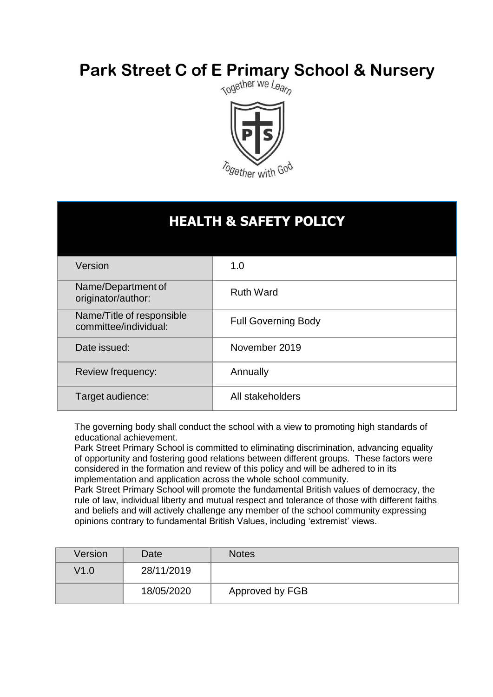# **Park Street C of E Primary School & Nursery**<br>Responsive *Registing We Leap*



# **HEALTH & SAFETY POLICY**

| Version                                            | 1.0                        |
|----------------------------------------------------|----------------------------|
| Name/Department of<br>originator/author:           | <b>Ruth Ward</b>           |
| Name/Title of responsible<br>committee/individual: | <b>Full Governing Body</b> |
| Date issued:                                       | November 2019              |
| Review frequency:                                  | Annually                   |
| Target audience:                                   | All stakeholders           |

The governing body shall conduct the school with a view to promoting high standards of educational achievement.

Park Street Primary School is committed to eliminating discrimination, advancing equality of opportunity and fostering good relations between different groups. These factors were considered in the formation and review of this policy and will be adhered to in its implementation and application across the whole school community.

Park Street Primary School will promote the fundamental British values of democracy, the rule of law, individual liberty and mutual respect and tolerance of those with different faiths and beliefs and will actively challenge any member of the school community expressing opinions contrary to fundamental British Values, including 'extremist' views.

| Version | Date       | <b>Notes</b>    |
|---------|------------|-----------------|
| V1.0    | 28/11/2019 |                 |
|         | 18/05/2020 | Approved by FGB |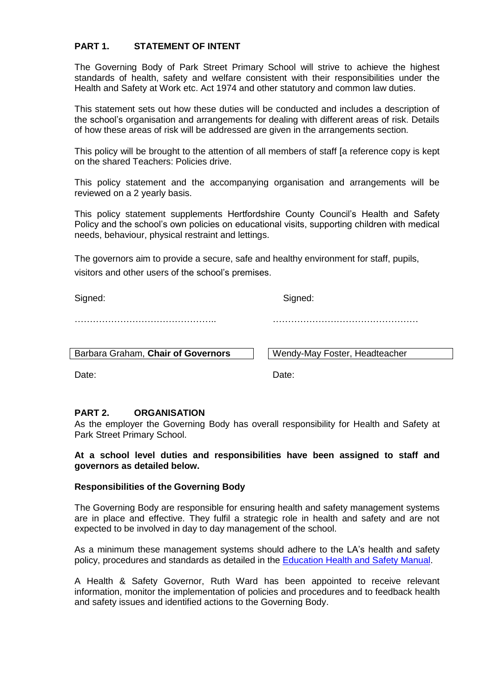# **PART 1. STATEMENT OF INTENT**

The Governing Body of Park Street Primary School will strive to achieve the highest standards of health, safety and welfare consistent with their responsibilities under the Health and Safety at Work etc. Act 1974 and other statutory and common law duties.

This statement sets out how these duties will be conducted and includes a description of the school's organisation and arrangements for dealing with different areas of risk. Details of how these areas of risk will be addressed are given in the arrangements section.

This policy will be brought to the attention of all members of staff [a reference copy is kept on the shared Teachers: Policies drive.

This policy statement and the accompanying organisation and arrangements will be reviewed on a 2 yearly basis.

This policy statement supplements Hertfordshire County Council's Health and Safety Policy and the school's own policies on educational visits, supporting children with medical needs, behaviour, physical restraint and lettings.

The governors aim to provide a secure, safe and healthy environment for staff, pupils, visitors and other users of the school's premises.

Signed: Signed: Signed: Signed: Signed: Signed: Signed: Signed: Signed: Signed: Signed: Signed: Signed: Signed: Signed: Signed: Signed: Signed: Signed: Signed: Signed: Signed: Signed: Signed: Signed: Signed: Signed: Signed

……………………………………….. …………………………………………

Barbara Graham, **Chair of Governors** Victorian Wendy-May Foster, Headteacher

Date: **Date:** Date: **Date:** Pate: **Date:** Pate: **Date:** Pate: **Date:** Pate: **Date:** Pate: **Date:** Pate: **Date:** Pate: **Date:** Pate: **Date:** Pate: **Date:** Pate: **Date:** Pate: **Date:** Pate: **Pate: Pate: Pate: Pate: Pate: Pat** 

#### **PART 2. ORGANISATION**

As the employer the Governing Body has overall responsibility for Health and Safety at Park Street Primary School.

**At a school level duties and responsibilities have been assigned to staff and governors as detailed below.**

#### **Responsibilities of the Governing Body**

The Governing Body are responsible for ensuring health and safety management systems are in place and effective. They fulfil a strategic role in health and safety and are not expected to be involved in day to day management of the school.

As a minimum these management systems should adhere to the LA's health and safety policy, procedures and standards as detailed in the [Education Health and Safety Manual.](http://www.thegrid.org.uk/info/healthandsafety/manual.shtml)

A Health & Safety Governor, Ruth Ward has been appointed to receive relevant information, monitor the implementation of policies and procedures and to feedback health and safety issues and identified actions to the Governing Body.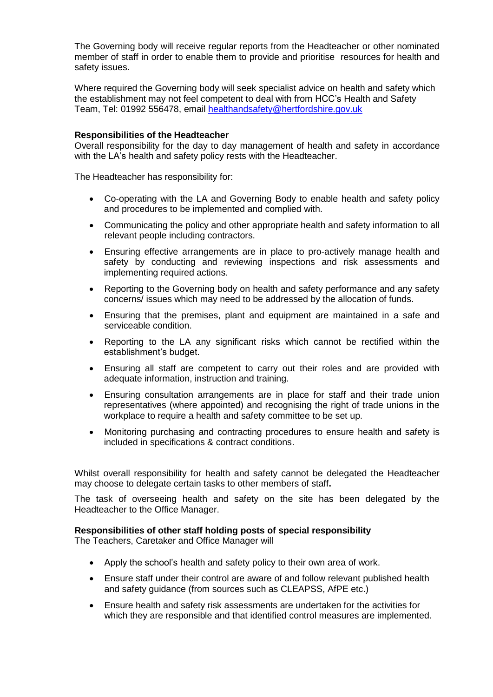The Governing body will receive regular reports from the Headteacher or other nominated member of staff in order to enable them to provide and prioritise resources for health and safety issues.

Where required the Governing body will seek specialist advice on health and safety which the establishment may not feel competent to deal with from HCC's Health and Safety Team, Tel: 01992 556478, email [healthandsafety@hertfordshire.gov.uk](mailto:healthandsafety@hertfordshire.gov.uk)

#### **Responsibilities of the Headteacher**

Overall responsibility for the day to day management of health and safety in accordance with the LA's health and safety policy rests with the Headteacher.

The Headteacher has responsibility for:

- Co-operating with the LA and Governing Body to enable health and safety policy and procedures to be implemented and complied with.
- Communicating the policy and other appropriate health and safety information to all relevant people including contractors.
- Ensuring effective arrangements are in place to pro-actively manage health and safety by conducting and reviewing inspections and risk assessments and implementing required actions.
- Reporting to the Governing body on health and safety performance and any safety concerns/ issues which may need to be addressed by the allocation of funds.
- Ensuring that the premises, plant and equipment are maintained in a safe and serviceable condition.
- Reporting to the LA any significant risks which cannot be rectified within the establishment's budget.
- Ensuring all staff are competent to carry out their roles and are provided with adequate information, instruction and training.
- Ensuring consultation arrangements are in place for staff and their trade union representatives (where appointed) and recognising the right of trade unions in the workplace to require a health and safety committee to be set up.
- Monitoring purchasing and contracting procedures to ensure health and safety is included in specifications & contract conditions.

Whilst overall responsibility for health and safety cannot be delegated the Headteacher may choose to delegate certain tasks to other members of staff**.** 

The task of overseeing health and safety on the site has been delegated by the Headteacher to the Office Manager.

#### **Responsibilities of other staff holding posts of special responsibility**

The Teachers, Caretaker and Office Manager will

- Apply the school's health and safety policy to their own area of work.
- Ensure staff under their control are aware of and follow relevant published health and safety guidance (from sources such as CLEAPSS, AfPE etc.)
- Ensure health and safety risk assessments are undertaken for the activities for which they are responsible and that identified control measures are implemented.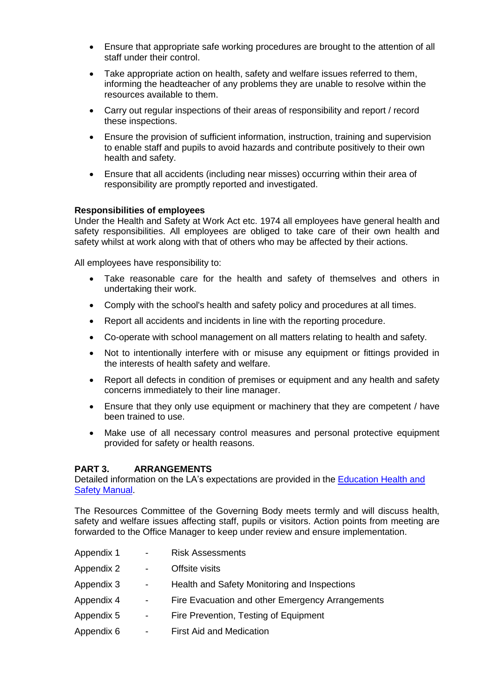- Ensure that appropriate safe working procedures are brought to the attention of all staff under their control.
- Take appropriate action on health, safety and welfare issues referred to them, informing the headteacher of any problems they are unable to resolve within the resources available to them.
- Carry out regular inspections of their areas of responsibility and report / record these inspections.
- Ensure the provision of sufficient information, instruction, training and supervision to enable staff and pupils to avoid hazards and contribute positively to their own health and safety.
- Ensure that all accidents (including near misses) occurring within their area of responsibility are promptly reported and investigated.

#### **Responsibilities of employees**

Under the Health and Safety at Work Act etc. 1974 all employees have general health and safety responsibilities. All employees are obliged to take care of their own health and safety whilst at work along with that of others who may be affected by their actions.

All employees have responsibility to:

- Take reasonable care for the health and safety of themselves and others in undertaking their work.
- Comply with the school's health and safety policy and procedures at all times.
- Report all accidents and incidents in line with the reporting procedure.
- Co-operate with school management on all matters relating to health and safety.
- Not to intentionally interfere with or misuse any equipment or fittings provided in the interests of health safety and welfare.
- Report all defects in condition of premises or equipment and any health and safety concerns immediately to their line manager.
- Ensure that they only use equipment or machinery that they are competent / have been trained to use.
- Make use of all necessary control measures and personal protective equipment provided for safety or health reasons.

# **PART 3. ARRANGEMENTS**

Detailed information on the LA's expectations are provided in the [Education Health and](http://www.thegrid.org.uk/info/healthandsafety/manual.shtml)  [Safety Manual.](http://www.thegrid.org.uk/info/healthandsafety/manual.shtml)

The Resources Committee of the Governing Body meets termly and will discuss health, safety and welfare issues affecting staff, pupils or visitors. Action points from meeting are forwarded to the Office Manager to keep under review and ensure implementation.

| Appendix 1 | $\overline{\phantom{a}}$     | <b>Risk Assessments</b>                          |
|------------|------------------------------|--------------------------------------------------|
| Appendix 2 | $\sim$                       | Offsite visits                                   |
| Appendix 3 | $\overline{\phantom{a}}$     | Health and Safety Monitoring and Inspections     |
| Appendix 4 | $\overline{\phantom{a}}$     | Fire Evacuation and other Emergency Arrangements |
| Appendix 5 | $\overline{\phantom{a}}$     | Fire Prevention, Testing of Equipment            |
| Appendix 6 | $\qquad \qquad \blacksquare$ | <b>First Aid and Medication</b>                  |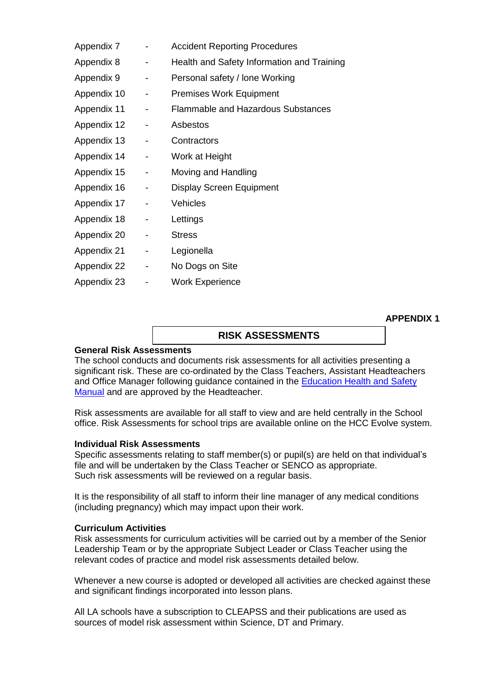| Appendix 7  |   | <b>Accident Reporting Procedures</b>       |
|-------------|---|--------------------------------------------|
| Appendix 8  | - | Health and Safety Information and Training |
| Appendix 9  |   | Personal safety / lone Working             |
| Appendix 10 |   | <b>Premises Work Equipment</b>             |
| Appendix 11 | - | <b>Flammable and Hazardous Substances</b>  |
| Appendix 12 |   | Asbestos                                   |
| Appendix 13 | - | Contractors                                |
| Appendix 14 |   | Work at Height                             |
| Appendix 15 | - | Moving and Handling                        |
| Appendix 16 | - | <b>Display Screen Equipment</b>            |
| Appendix 17 |   | Vehicles                                   |
| Appendix 18 |   | Lettings                                   |
| Appendix 20 | - | <b>Stress</b>                              |
| Appendix 21 |   | Legionella                                 |
| Appendix 22 | - | No Dogs on Site                            |
| Appendix 23 |   | <b>Work Experience</b>                     |
|             |   |                                            |

**APPENDIX 1**

# **RISK ASSESSMENTS**

#### **General Risk Assessments**

The school conducts and documents risk assessments for all activities presenting a significant risk. These are co-ordinated by the Class Teachers, Assistant Headteachers and Office Manager following guidance contained in the **Education Health and Safety** [Manual](http://www.thegrid.org.uk/info/healthandsafety/manual.shtml#r) and are approved by the Headteacher.

Risk assessments are available for all staff to view and are held centrally in the School office. Risk Assessments for school trips are available online on the HCC Evolve system.

#### **Individual Risk Assessments**

Specific assessments relating to staff member(s) or pupil(s) are held on that individual's file and will be undertaken by the Class Teacher or SENCO as appropriate. Such risk assessments will be reviewed on a regular basis.

It is the responsibility of all staff to inform their line manager of any medical conditions (including pregnancy) which may impact upon their work.

#### **Curriculum Activities**

Risk assessments for curriculum activities will be carried out by a member of the Senior Leadership Team or by the appropriate Subject Leader or Class Teacher using the relevant codes of practice and model risk assessments detailed below.

Whenever a new course is adopted or developed all activities are checked against these and significant findings incorporated into lesson plans.

All LA schools have a subscription to CLEAPSS and their publications are used as sources of model risk assessment within Science, DT and Primary.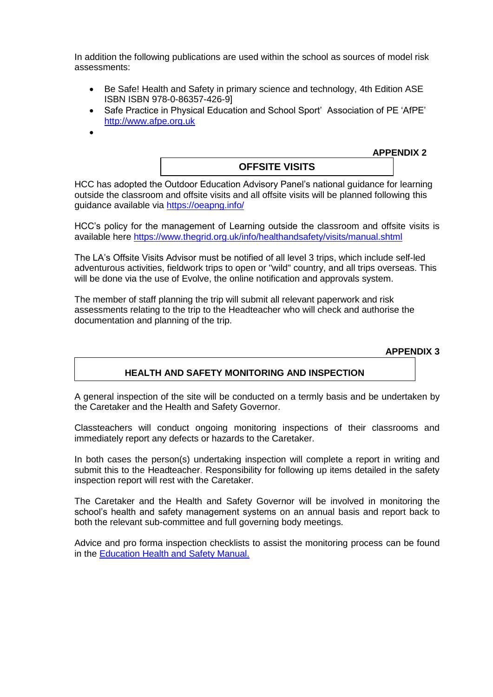In addition the following publications are used within the school as sources of model risk assessments:

- Be Safe! Health and Safety in primary science and technology, 4th Edition ASE ISBN ISBN 978-0-86357-426-9]
- Safe Practice in Physical Education and School Sport' Association of PE 'AfPE' [http://www.afpe.org.uk](http://www.afpe.org.uk/)
- $\bullet$

**OFFSITE VISITS**

**APPENDIX 2**

HCC has adopted the Outdoor Education Advisory Panel's national guidance for learning outside the classroom and offsite visits and all offsite visits will be planned following this guidance available via<https://oeapng.info/>

HCC's policy for the management of Learning outside the classroom and offsite visits is available here<https://www.thegrid.org.uk/info/healthandsafety/visits/manual.shtml>

The LA's Offsite Visits Advisor must be notified of all level 3 trips, which include self-led adventurous activities, fieldwork trips to open or "wild" country, and all trips overseas. This will be done via the use of Evolve, the online notification and approvals system.

The member of staff planning the trip will submit all relevant paperwork and risk assessments relating to the trip to the Headteacher who will check and authorise the documentation and planning of the trip.

**APPENDIX 3**

# **HEALTH AND SAFETY MONITORING AND INSPECTION**

A general inspection of the site will be conducted on a termly basis and be undertaken by the Caretaker and the Health and Safety Governor.

Classteachers will conduct ongoing monitoring inspections of their classrooms and immediately report any defects or hazards to the Caretaker.

In both cases the person(s) undertaking inspection will complete a report in writing and submit this to the Headteacher. Responsibility for following up items detailed in the safety inspection report will rest with the Caretaker.

The Caretaker and the Health and Safety Governor will be involved in monitoring the school's health and safety management systems on an annual basis and report back to both the relevant sub-committee and full governing body meetings.

Advice and pro forma inspection checklists to assist the monitoring process can be found in the [Education Health and Safety Manual.](http://www.thegrid.org.uk/info/healthandsafety/manual.shtml#A)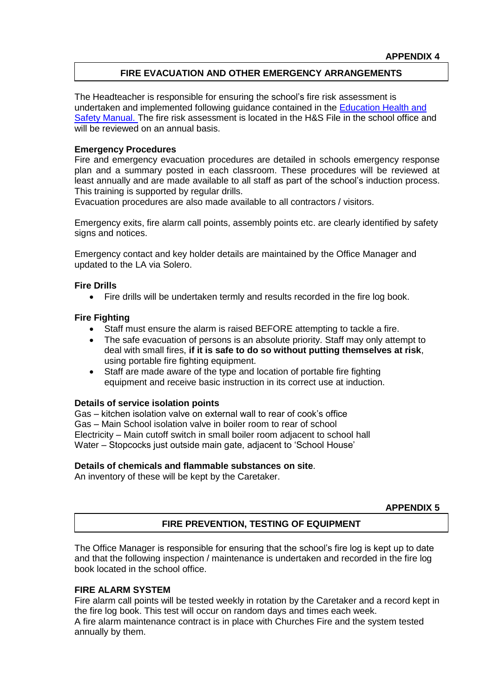# **FIRE EVACUATION AND OTHER EMERGENCY ARRANGEMENTS**

The Headteacher is responsible for ensuring the school's fire risk assessment is undertaken and implemented following guidance contained in the [Education Health and](http://www.thegrid.org.uk/info/healthandsafety/fire_safety.shtml)  [Safety Manual. T](http://www.thegrid.org.uk/info/healthandsafety/fire_safety.shtml)he fire risk assessment is located in the H&S File in the school office and will be reviewed on an annual basis.

#### **Emergency Procedures**

Fire and emergency evacuation procedures are detailed in schools emergency response plan and a summary posted in each classroom. These procedures will be reviewed at least annually and are made available to all staff as part of the school's induction process. This training is supported by regular drills.

Evacuation procedures are also made available to all contractors / visitors.

Emergency exits, fire alarm call points, assembly points etc. are clearly identified by safety signs and notices.

Emergency contact and key holder details are maintained by the Office Manager and updated to the LA via Solero.

#### **Fire Drills**

Fire drills will be undertaken termly and results recorded in the fire log book.

# **Fire Fighting**

- Staff must ensure the alarm is raised BEFORE attempting to tackle a fire.
- The safe evacuation of persons is an absolute priority. Staff may only attempt to deal with small fires, **if it is safe to do so without putting themselves at risk**, using portable fire fighting equipment.
- Staff are made aware of the type and location of portable fire fighting equipment and receive basic instruction in its correct use at induction.

#### **Details of service isolation points**

Gas – kitchen isolation valve on external wall to rear of cook's office Gas – Main School isolation valve in boiler room to rear of school Electricity – Main cutoff switch in small boiler room adjacent to school hall Water – Stopcocks just outside main gate, adjacent to 'School House'

# **Details of chemicals and flammable substances on site**.

An inventory of these will be kept by the Caretaker.

**APPENDIX 5**

# **FIRE PREVENTION, TESTING OF EQUIPMENT**

The Office Manager is responsible for ensuring that the school's fire log is kept up to date and that the following inspection / maintenance is undertaken and recorded in the fire log book located in the school office.

# **FIRE ALARM SYSTEM**

Fire alarm call points will be tested weekly in rotation by the Caretaker and a record kept in the fire log book. This test will occur on random days and times each week. A fire alarm maintenance contract is in place with Churches Fire and the system tested annually by them.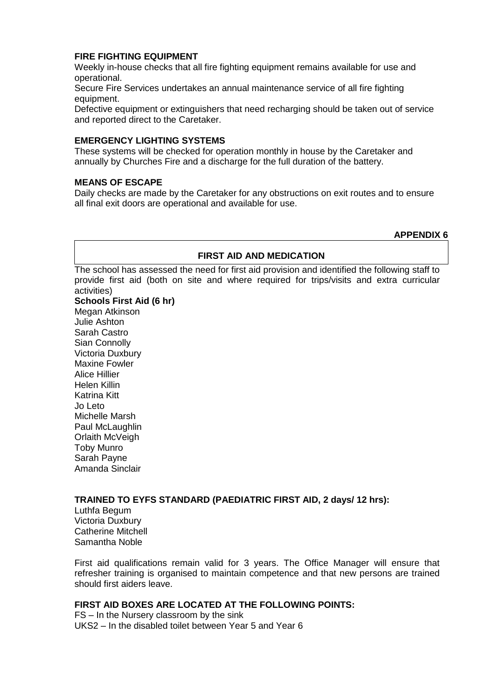# **FIRE FIGHTING EQUIPMENT**

Weekly in-house checks that all fire fighting equipment remains available for use and operational.

Secure Fire Services undertakes an annual maintenance service of all fire fighting equipment.

Defective equipment or extinguishers that need recharging should be taken out of service and reported direct to the Caretaker.

# **EMERGENCY LIGHTING SYSTEMS**

These systems will be checked for operation monthly in house by the Caretaker and annually by Churches Fire and a discharge for the full duration of the battery.

# **MEANS OF ESCAPE**

Daily checks are made by the Caretaker for any obstructions on exit routes and to ensure all final exit doors are operational and available for use.

#### **APPENDIX 6**

# **FIRST AID AND MEDICATION**

The school has assessed the need for first aid provision and identified the following staff to provide first aid (both on site and where required for trips/visits and extra curricular activities)

#### **Schools First Aid (6 hr)**

Megan Atkinson Julie Ashton Sarah Castro Sian Connolly Victoria Duxbury Maxine Fowler Alice Hillier Helen Killin Katrina Kitt Jo Leto Michelle Marsh Paul McLaughlin Orlaith McVeigh Toby Munro Sarah Payne Amanda Sinclair

# **TRAINED TO EYFS STANDARD (PAEDIATRIC FIRST AID, 2 days/ 12 hrs):**

Luthfa Begum Victoria Duxbury Catherine Mitchell Samantha Noble

First aid qualifications remain valid for 3 years. The Office Manager will ensure that refresher training is organised to maintain competence and that new persons are trained should first aiders leave.

# **FIRST AID BOXES ARE LOCATED AT THE FOLLOWING POINTS:**

FS – In the Nursery classroom by the sink UKS2 – In the disabled toilet between Year 5 and Year 6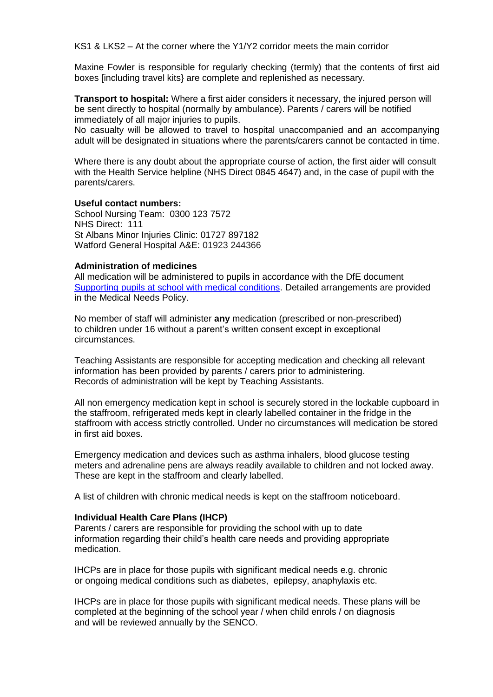KS1 & LKS2 – At the corner where the Y1/Y2 corridor meets the main corridor

Maxine Fowler is responsible for regularly checking (termly) that the contents of first aid boxes [including travel kits} are complete and replenished as necessary.

**Transport to hospital:** Where a first aider considers it necessary, the injured person will be sent directly to hospital (normally by ambulance). Parents / carers will be notified immediately of all major injuries to pupils.

No casualty will be allowed to travel to hospital unaccompanied and an accompanying adult will be designated in situations where the parents/carers cannot be contacted in time.

Where there is any doubt about the appropriate course of action, the first aider will consult with the Health Service helpline (NHS Direct 0845 4647) and, in the case of pupil with the parents/carers.

#### **Useful contact numbers:**

School Nursing Team: 0300 123 7572 NHS Direct: 111 St Albans Minor Injuries Clinic: 01727 897182 Watford General Hospital A&E: 01923 244366

#### **Administration of medicines**

All medication will be administered to pupils in accordance with the DfE document [Supporting pupils at school with medical conditions.](https://www.gov.uk/government/publications/supporting-pupils-at-school-with-medical-conditions--3) Detailed arrangements are provided in the Medical Needs Policy.

No member of staff will administer **any** medication (prescribed or non-prescribed) to children under 16 without a parent's written consent except in exceptional circumstances.

Teaching Assistants are responsible for accepting medication and checking all relevant information has been provided by parents / carers prior to administering. Records of administration will be kept by Teaching Assistants.

All non emergency medication kept in school is securely stored in the lockable cupboard in the staffroom, refrigerated meds kept in clearly labelled container in the fridge in the staffroom with access strictly controlled. Under no circumstances will medication be stored in first aid boxes.

Emergency medication and devices such as asthma inhalers, blood glucose testing meters and adrenaline pens are always readily available to children and not locked away. These are kept in the staffroom and clearly labelled.

A list of children with chronic medical needs is kept on the staffroom noticeboard.

#### **Individual Health Care Plans (IHCP)**

Parents / carers are responsible for providing the school with up to date information regarding their child's health care needs and providing appropriate medication.

IHCPs are in place for those pupils with significant medical needs e.g. chronic or ongoing medical conditions such as diabetes, epilepsy, anaphylaxis etc.

IHCPs are in place for those pupils with significant medical needs. These plans will be completed at the beginning of the school year / when child enrols / on diagnosis and will be reviewed annually by the SENCO.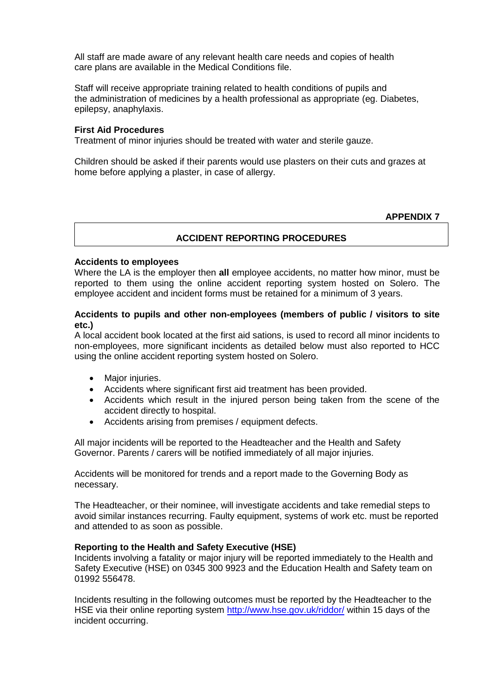All staff are made aware of any relevant health care needs and copies of health care plans are available in the Medical Conditions file.

Staff will receive appropriate training related to health conditions of pupils and the administration of medicines by a health professional as appropriate (eg. Diabetes, epilepsy, anaphylaxis.

#### **First Aid Procedures**

Treatment of minor injuries should be treated with water and sterile gauze.

Children should be asked if their parents would use plasters on their cuts and grazes at home before applying a plaster, in case of allergy.

#### **APPENDIX 7**

# **ACCIDENT REPORTING PROCEDURES**

#### **Accidents to employees**

Where the LA is the employer then **all** employee accidents, no matter how minor, must be reported to them using the online accident reporting system hosted on Solero. The employee accident and incident forms must be retained for a minimum of 3 years.

#### **Accidents to pupils and other non-employees (members of public / visitors to site etc.)**

A local accident book located at the first aid sations, is used to record all minor incidents to non-employees, more significant incidents as detailed below must also reported to HCC using the online accident reporting system hosted on Solero.

- Major injuries.
- Accidents where significant first aid treatment has been provided.
- Accidents which result in the injured person being taken from the scene of the accident directly to hospital.
- Accidents arising from premises / equipment defects.

All major incidents will be reported to the Headteacher and the Health and Safety Governor. Parents / carers will be notified immediately of all major injuries.

Accidents will be monitored for trends and a report made to the Governing Body as necessary.

The Headteacher, or their nominee, will investigate accidents and take remedial steps to avoid similar instances recurring. Faulty equipment, systems of work etc. must be reported and attended to as soon as possible.

#### **Reporting to the Health and Safety Executive (HSE)**

Incidents involving a fatality or major injury will be reported immediately to the Health and Safety Executive (HSE) on 0345 300 9923 and the Education Health and Safety team on 01992 556478.

Incidents resulting in the following outcomes must be reported by the Headteacher to the HSE via their online reporting system <http://www.hse.gov.uk/riddor/> within 15 days of the incident occurring.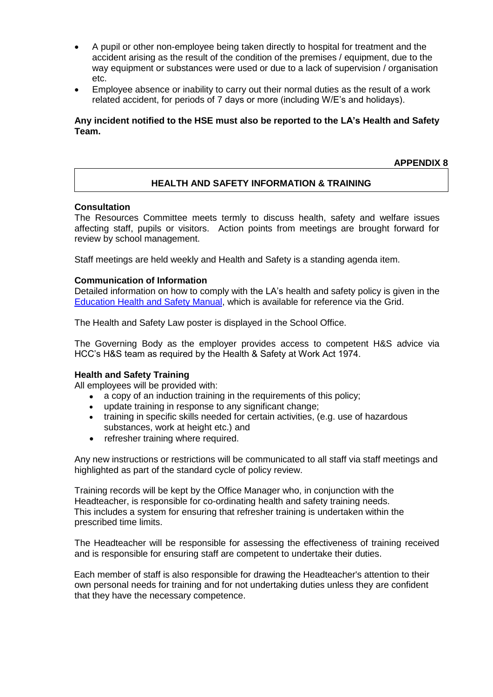- A pupil or other non-employee being taken directly to hospital for treatment and the accident arising as the result of the condition of the premises / equipment, due to the way equipment or substances were used or due to a lack of supervision / organisation etc.
- Employee absence or inability to carry out their normal duties as the result of a work related accident, for periods of 7 days or more (including W/E's and holidays).

# **Any incident notified to the HSE must also be reported to the LA's Health and Safety Team.**

**APPENDIX 8**

# **HEALTH AND SAFETY INFORMATION & TRAINING**

#### **Consultation**

The Resources Committee meets termly to discuss health, safety and welfare issues affecting staff, pupils or visitors. Action points from meetings are brought forward for review by school management.

Staff meetings are held weekly and Health and Safety is a standing agenda item.

#### **Communication of Information**

Detailed information on how to comply with the LA's health and safety policy is given in the [Education Health and Safety Manual,](http://www.thegrid.org.uk/info/healthandsafety/manual.shtml#p) which is available for reference via the Grid.

The Health and Safety Law poster is displayed in the School Office.

The Governing Body as the employer provides access to competent H&S advice via HCC's H&S team as required by the Health & Safety at Work Act 1974.

#### **Health and Safety Training**

All employees will be provided with:

- a copy of an induction training in the requirements of this policy;
- update training in response to any significant change;
- training in specific skills needed for certain activities, (e.g. use of hazardous substances, work at height etc.) and
- refresher training where required.

Any new instructions or restrictions will be communicated to all staff via staff meetings and highlighted as part of the standard cycle of policy review.

Training records will be kept by the Office Manager who, in conjunction with the Headteacher, is responsible for co-ordinating health and safety training needs. This includes a system for ensuring that refresher training is undertaken within the prescribed time limits.

The Headteacher will be responsible for assessing the effectiveness of training received and is responsible for ensuring staff are competent to undertake their duties.

Each member of staff is also responsible for drawing the Headteacher's attention to their own personal needs for training and for not undertaking duties unless they are confident that they have the necessary competence.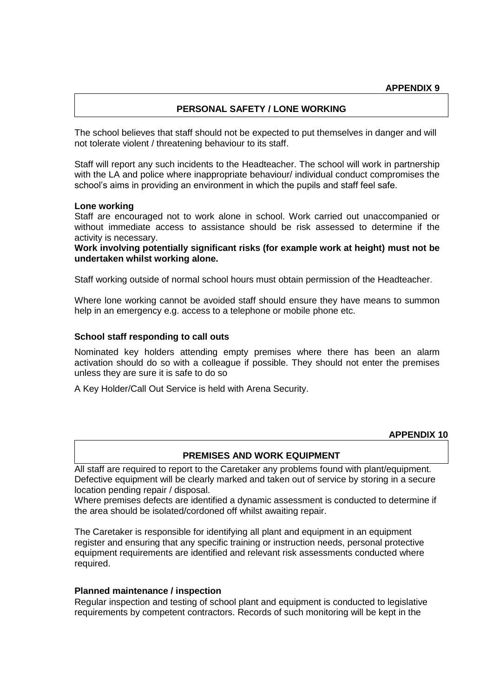# **PERSONAL SAFETY / LONE WORKING**

The school believes that staff should not be expected to put themselves in danger and will not tolerate violent / threatening behaviour to its staff.

Staff will report any such incidents to the Headteacher. The school will work in partnership with the LA and police where inappropriate behaviour/ individual conduct compromises the school's aims in providing an environment in which the pupils and staff feel safe.

#### **Lone working**

Staff are encouraged not to work alone in school. Work carried out unaccompanied or without immediate access to assistance should be risk assessed to determine if the activity is necessary.

**Work involving potentially significant risks (for example work at height) must not be undertaken whilst working alone.**

Staff working outside of normal school hours must obtain permission of the Headteacher.

Where lone working cannot be avoided staff should ensure they have means to summon help in an emergency e.g. access to a telephone or mobile phone etc.

#### **School staff responding to call outs**

Nominated key holders attending empty premises where there has been an alarm activation should do so with a colleague if possible. They should not enter the premises unless they are sure it is safe to do so

A Key Holder/Call Out Service is held with Arena Security.

#### **APPENDIX 10**

#### **PREMISES AND WORK EQUIPMENT**

All staff are required to report to the Caretaker any problems found with plant/equipment. Defective equipment will be clearly marked and taken out of service by storing in a secure location pending repair / disposal.

Where premises defects are identified a dynamic assessment is conducted to determine if the area should be isolated/cordoned off whilst awaiting repair.

The Caretaker is responsible for identifying all plant and equipment in an equipment register and ensuring that any specific training or instruction needs, personal protective equipment requirements are identified and relevant risk assessments conducted where required.

#### **Planned maintenance / inspection**

Regular inspection and testing of school plant and equipment is conducted to legislative requirements by competent contractors. Records of such monitoring will be kept in the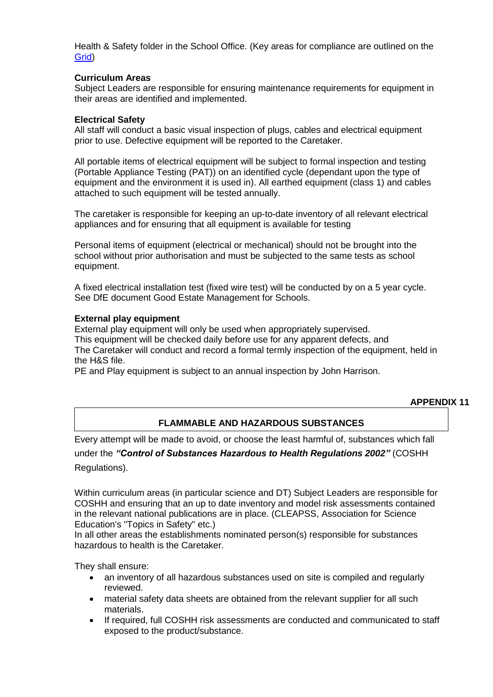Health & Safety folder in the School Office. (Key areas for compliance are outlined on the [Grid\)](http://www.thegrid.org.uk/info/healthandsafety/manual.shtml#m)

# **Curriculum Areas**

Subject Leaders are responsible for ensuring maintenance requirements for equipment in their areas are identified and implemented.

#### **Electrical Safety**

All staff will conduct a basic visual inspection of plugs, cables and electrical equipment prior to use. Defective equipment will be reported to the Caretaker.

All portable items of electrical equipment will be subject to formal inspection and testing (Portable Appliance Testing (PAT)) on an identified cycle (dependant upon the type of equipment and the environment it is used in). All earthed equipment (class 1) and cables attached to such equipment will be tested annually.

The caretaker is responsible for keeping an up-to-date inventory of all relevant electrical appliances and for ensuring that all equipment is available for testing

Personal items of equipment (electrical or mechanical) should not be brought into the school without prior authorisation and must be subjected to the same tests as school equipment.

A fixed electrical installation test (fixed wire test) will be conducted by on a 5 year cycle. See DfE document Good Estate Management for Schools.

#### **External play equipment**

External play equipment will only be used when appropriately supervised. This equipment will be checked daily before use for any apparent defects, and The Caretaker will conduct and record a formal termly inspection of the equipment, held in the H&S file.

PE and Play equipment is subject to an annual inspection by John Harrison.

#### **APPENDIX 11**

# **FLAMMABLE AND HAZARDOUS SUBSTANCES**

Every attempt will be made to avoid, or choose the least harmful of, substances which fall under the *"Control of Substances Hazardous to Health Regulations 2002"* (COSHH Regulations).

Within curriculum areas (in particular science and DT) Subject Leaders are responsible for COSHH and ensuring that an up to date inventory and model risk assessments contained in the relevant national publications are in place. (CLEAPSS, Association for Science Education's "Topics in Safety" etc.)

In all other areas the establishments nominated person(s) responsible for substances hazardous to health is the Caretaker.

They shall ensure:

- an inventory of all hazardous substances used on site is compiled and regularly reviewed.
- material safety data sheets are obtained from the relevant supplier for all such materials.
- If required, full COSHH risk assessments are conducted and communicated to staff exposed to the product/substance.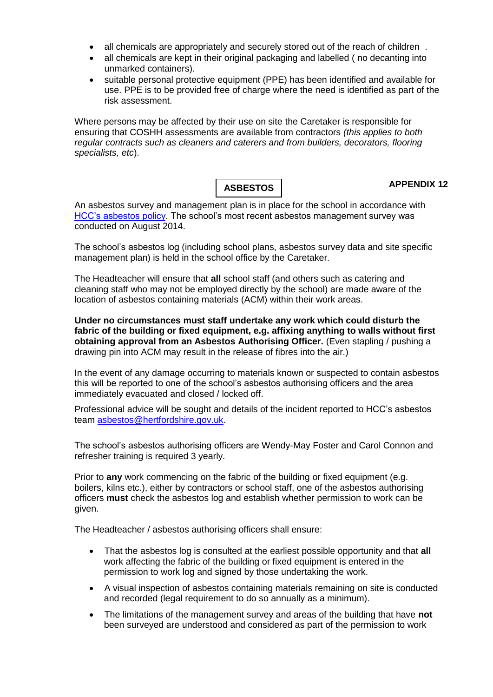- all chemicals are appropriately and securely stored out of the reach of children .
- all chemicals are kept in their original packaging and labelled ( no decanting into unmarked containers).
- suitable personal protective equipment (PPE) has been identified and available for use. PPE is to be provided free of charge where the need is identified as part of the risk assessment.

Where persons may be affected by their use on site the Caretaker is responsible for ensuring that COSHH assessments are available from contractors *(this applies to both regular contracts such as cleaners and caterers and from builders, decorators, flooring specialists, etc*).

**ASBESTOS**

# **APPENDIX 12**

An asbestos survey and management plan is in place for the school in accordance with [HCC's asbestos policy.](http://www.thegrid.org.uk/info/healthandsafety/manual.shtml#A) The school's most recent asbestos management survey was conducted on August 2014.

The school's asbestos log (including school plans, asbestos survey data and site specific management plan) is held in the school office by the Caretaker.

The Headteacher will ensure that **all** school staff (and others such as catering and cleaning staff who may not be employed directly by the school) are made aware of the location of asbestos containing materials (ACM) within their work areas.

**Under no circumstances must staff undertake any work which could disturb the fabric of the building or fixed equipment, e.g. affixing anything to walls without first obtaining approval from an Asbestos Authorising Officer.** (Even stapling / pushing a drawing pin into ACM may result in the release of fibres into the air.)

In the event of any damage occurring to materials known or suspected to contain asbestos this will be reported to one of the school's asbestos authorising officers and the area immediately evacuated and closed / locked off.

Professional advice will be sought and details of the incident reported to HCC's asbestos team [asbestos@hertfordshire.gov.uk.](mailto:asbestos@hertfordshire.gov.uk)

The school's asbestos authorising officers are Wendy-May Foster and Carol Connon and refresher training is required 3 yearly.

Prior to **any** work commencing on the fabric of the building or fixed equipment (e.g. boilers, kilns etc.), either by contractors or school staff, one of the asbestos authorising officers **must** check the asbestos log and establish whether permission to work can be given.

The Headteacher / asbestos authorising officers shall ensure:

- That the asbestos log is consulted at the earliest possible opportunity and that **all** work affecting the fabric of the building or fixed equipment is entered in the permission to work log and signed by those undertaking the work.
- A visual inspection of asbestos containing materials remaining on site is conducted and recorded (legal requirement to do so annually as a minimum).
- The limitations of the management survey and areas of the building that have **not** been surveyed are understood and considered as part of the permission to work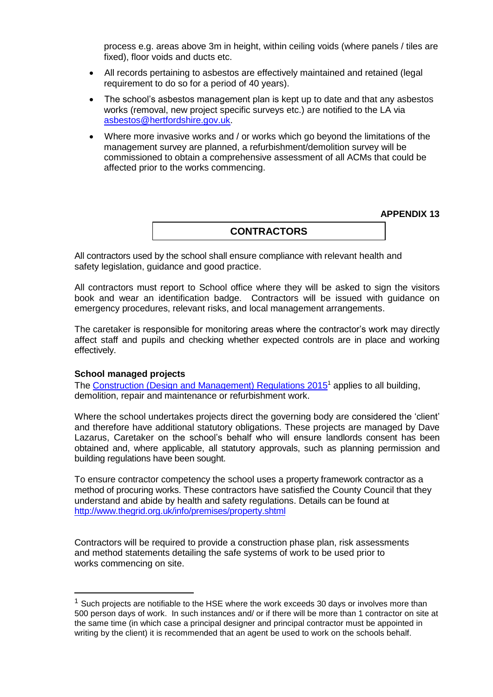process e.g. areas above 3m in height, within ceiling voids (where panels / tiles are fixed), floor voids and ducts etc.

- All records pertaining to asbestos are effectively maintained and retained (legal requirement to do so for a period of 40 years).
- The school's asbestos management plan is kept up to date and that any asbestos works (removal, new project specific surveys etc.) are notified to the LA via [asbestos@hertfordshire.gov.uk.](mailto:asbestos@hertfordshire.gov.uk)
- Where more invasive works and / or works which go beyond the limitations of the management survey are planned, a refurbishment/demolition survey will be commissioned to obtain a comprehensive assessment of all ACMs that could be affected prior to the works commencing.

**APPENDIX 13**

# **CONTRACTORS**

All contractors used by the school shall ensure compliance with relevant health and safety legislation, guidance and good practice.

All contractors must report to School office where they will be asked to sign the visitors book and wear an identification badge. Contractors will be issued with guidance on emergency procedures, relevant risks, and local management arrangements.

The caretaker is responsible for monitoring areas where the contractor's work may directly affect staff and pupils and checking whether expected controls are in place and working effectively.

#### **School managed projects**

1

The [Construction \(Design and Management\) Regulations 2015](http://www.hse.gov.uk/construction/cdm/2015/index.htm?ebul=gd-cons/jun15&cr=1)<sup>1</sup> applies to all building, demolition, repair and maintenance or refurbishment work.

Where the school undertakes projects direct the governing body are considered the 'client' and therefore have additional statutory obligations. These projects are managed by Dave Lazarus, Caretaker on the school's behalf who will ensure landlords consent has been obtained and, where applicable, all statutory approvals, such as planning permission and building regulations have been sought.

To ensure contractor competency the school uses a property framework contractor as a method of procuring works. These contractors have satisfied the County Council that they understand and abide by health and safety regulations. Details can be found at <http://www.thegrid.org.uk/info/premises/property.shtml>

Contractors will be required to provide a construction phase plan, risk assessments and method statements detailing the safe systems of work to be used prior to works commencing on site.

 $<sup>1</sup>$  Such projects are notifiable to the HSE where the work exceeds 30 days or involves more than</sup> 500 person days of work. In such instances and/ or if there will be more than 1 contractor on site at the same time (in which case a principal designer and principal contractor must be appointed in writing by the client) it is recommended that an agent be used to work on the schools behalf.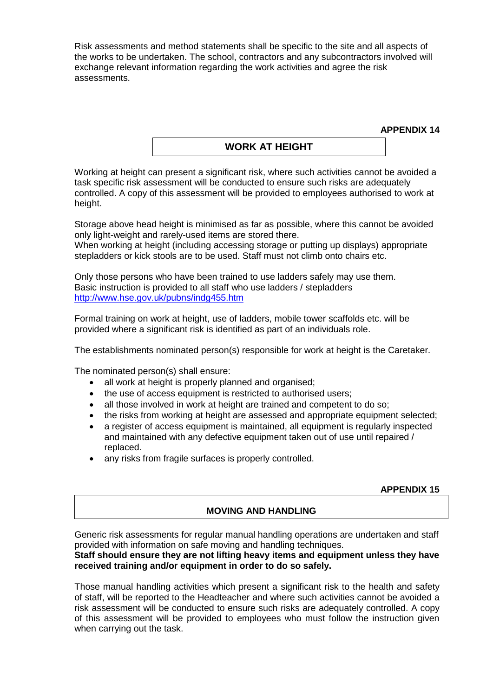Risk assessments and method statements shall be specific to the site and all aspects of the works to be undertaken. The school, contractors and any subcontractors involved will exchange relevant information regarding the work activities and agree the risk assessments.

**APPENDIX 14**

# **WORK AT HEIGHT**

Working at height can present a significant risk, where such activities cannot be avoided a task specific risk assessment will be conducted to ensure such risks are adequately controlled. A copy of this assessment will be provided to employees authorised to work at height.

Storage above head height is minimised as far as possible, where this cannot be avoided only light-weight and rarely-used items are stored there.

When working at height (including accessing storage or putting up displays) appropriate stepladders or kick stools are to be used. Staff must not climb onto chairs etc.

Only those persons who have been trained to use ladders safely may use them. Basic instruction is provided to all staff who use ladders / stepladders <http://www.hse.gov.uk/pubns/indg455.htm>

Formal training on work at height, use of ladders, mobile tower scaffolds etc. will be provided where a significant risk is identified as part of an individuals role.

The establishments nominated person(s) responsible for work at height is the Caretaker.

The nominated person(s) shall ensure:

- all work at height is properly planned and organised;
- the use of access equipment is restricted to authorised users;
- all those involved in work at height are trained and competent to do so;
- the risks from working at height are assessed and appropriate equipment selected:
- a register of access equipment is maintained, all equipment is regularly inspected and maintained with any defective equipment taken out of use until repaired / replaced.
- any risks from fragile surfaces is properly controlled.

#### **APPENDIX 15**

#### **MOVING AND HANDLING**

Generic risk assessments for regular manual handling operations are undertaken and staff provided with information on safe moving and handling techniques.

#### **Staff should ensure they are not lifting heavy items and equipment unless they have received training and/or equipment in order to do so safely.**

Those manual handling activities which present a significant risk to the health and safety of staff, will be reported to the Headteacher and where such activities cannot be avoided a risk assessment will be conducted to ensure such risks are adequately controlled. A copy of this assessment will be provided to employees who must follow the instruction given when carrying out the task.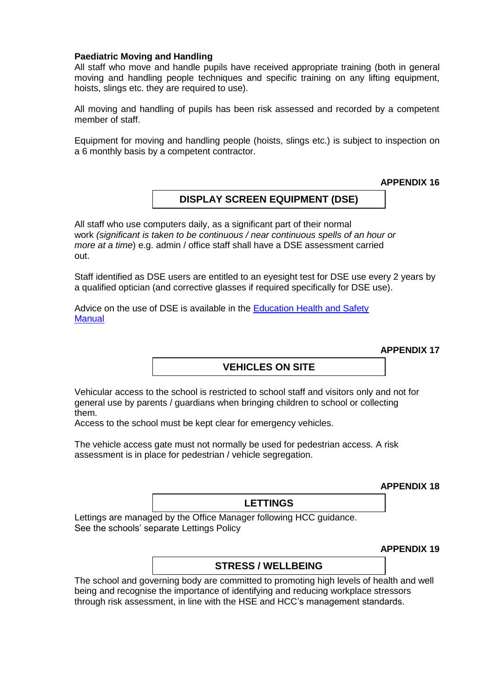#### **Paediatric Moving and Handling**

All staff who move and handle pupils have received appropriate training (both in general moving and handling people techniques and specific training on any lifting equipment, hoists, slings etc. they are required to use).

All moving and handling of pupils has been risk assessed and recorded by a competent member of staff.

Equipment for moving and handling people (hoists, slings etc.) is subject to inspection on a 6 monthly basis by a competent contractor.

**APPENDIX 16**

# **DISPLAY SCREEN EQUIPMENT (DSE)**

All staff who use computers daily, as a significant part of their normal work *(significant is taken to be continuous / near continuous spells of an hour or more at a time*) e.g. admin / office staff shall have a DSE assessment carried out.

Staff identified as DSE users are entitled to an eyesight test for DSE use every 2 years by a qualified optician (and corrective glasses if required specifically for DSE use).

Advice on the use of DSE is available in the [Education Health and Safety](http://www.thegrid.org.uk/info/healthandsafety/documents_manual/display_screen_equipment.doc) **Manual** 

**APPENDIX 17**

# **VEHICLES ON SITE**

Vehicular access to the school is restricted to school staff and visitors only and not for general use by parents / guardians when bringing children to school or collecting them.

Access to the school must be kept clear for emergency vehicles.

The vehicle access gate must not normally be used for pedestrian access. A risk assessment is in place for pedestrian / vehicle segregation.

**APPENDIX 18**

# **LETTINGS**

Lettings are managed by the Office Manager following HCC guidance. See the schools' separate Lettings Policy

**APPENDIX 19**

#### **STRESS / WELLBEING**

The school and governing body are committed to promoting high levels of health and well being and recognise the importance of identifying and reducing workplace stressors through risk assessment, in line with the HSE and HCC's management standards.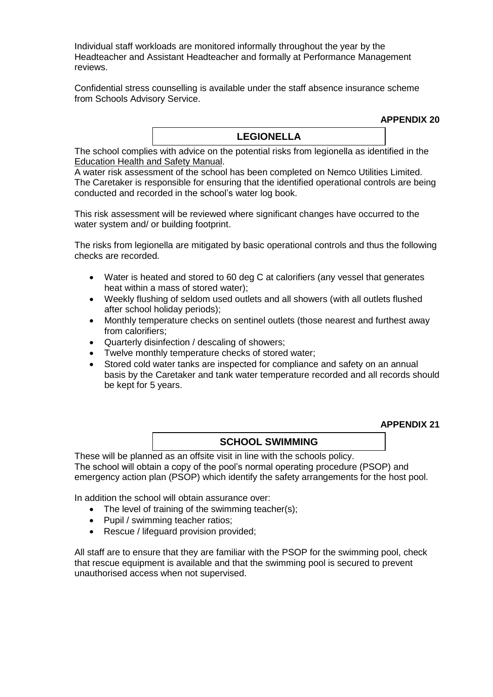Individual staff workloads are monitored informally throughout the year by the Headteacher and Assistant Headteacher and formally at Performance Management reviews.

Confidential stress counselling is available under the staff absence insurance scheme from Schools Advisory Service.

**APPENDIX 20**

# **LEGIONELLA**

The school complies with advice on the potential risks from legionella as identified in the [Education Health and Safety Manual.](http://www.thegrid.org.uk/info/healthandsafety/manual.shtml#l)

A water risk assessment of the school has been completed on Nemco Utilities Limited. The Caretaker is responsible for ensuring that the identified operational controls are being conducted and recorded in the school's water log book.

This risk assessment will be reviewed where significant changes have occurred to the water system and/ or building footprint.

The risks from legionella are mitigated by basic operational controls and thus the following checks are recorded.

- Water is heated and stored to 60 deg C at calorifiers (any vessel that generates heat within a mass of stored water);
- Weekly flushing of seldom used outlets and all showers (with all outlets flushed after school holiday periods);
- Monthly temperature checks on sentinel outlets (those nearest and furthest away from calorifiers;
- Quarterly disinfection / descaling of showers;
- Twelve monthly temperature checks of stored water;
- Stored cold water tanks are inspected for compliance and safety on an annual basis by the Caretaker and tank water temperature recorded and all records should be kept for 5 years.

**APPENDIX 21**

# **SCHOOL SWIMMING**

These will be planned as an offsite visit in line with the schools policy. The school will obtain a copy of the pool's normal operating procedure (PSOP) and emergency action plan (PSOP) which identify the safety arrangements for the host pool.

In addition the school will obtain assurance over:

- The level of training of the swimming teacher(s);
- Pupil / swimming teacher ratios;
- Rescue / lifeguard provision provided:

All staff are to ensure that they are familiar with the PSOP for the swimming pool, check that rescue equipment is available and that the swimming pool is secured to prevent unauthorised access when not supervised.